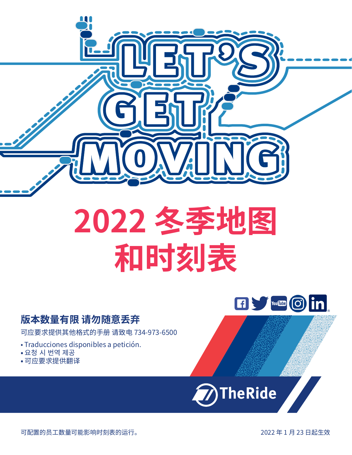

## **版本数量有限 请勿随意丢弃**

可应要求提供其他格式的手册 请致电 734-973-6500

- Traducciones disponibles a petición.
- 요청 시 번역 제공
- 可应要求提供翻译



 $\boxed{f}$  with  $\boxed{f}$  or  $\boxed{f}$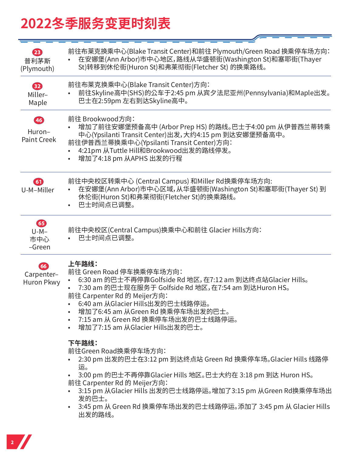# **2022冬季服务变更时刻表**

| 23<br>普利茅斯<br>(Plymouth)                | 前往布莱克换乘中心(Blake Transit Center)和前往 Plymouth/Green Road 换乘停车场方向:<br>在安娜堡(Ann Arbor)市中心地区,路线从华盛顿街(Washington St)和塞耶街(Thayer<br>St)转移到休伦街(Huron St)和弗莱彻街(Fletcher St) 的换乘路线。                                                                                                                                                                           |
|-----------------------------------------|-----------------------------------------------------------------------------------------------------------------------------------------------------------------------------------------------------------------------------------------------------------------------------------------------------------------------------------------------------|
| 82<br>Miller-<br>Maple                  | 前往布莱克换乘中心(Blake Transit Center)方向:<br>前往Skyline高中(SHS)的公车于2:45 pm 从宾夕法尼亚州(Pennsylvania)和Maple出发。<br>巴士在2:59pm 左右到达Skyline高中。                                                                                                                                                                                                                        |
| 46<br>Huron-<br><b>Paint Creek</b>      | 前往 Brookwood方向:<br>增加了前往安娜堡预备高中 (Arbor Prep HS) 的路线。巴士于4:00 pm 从伊普西兰蒂转乘<br>中心(Ypsilanti Transit Center)出发,大约4:15 pm 到达安娜堡预备高中。<br>前往伊普西兰蒂换乘中心(Ypsilanti Transit Center)方向:<br>4:21pm 从Tuttle Hill和Brookwood出发的路线停发。<br>增加了4:18 pm 从APHS 出发的行程<br>$\bullet$                                                                                          |
| $\bullet$<br>U-M-Miller                 | 前往中央校区转乘中心 (Central Campus) 和Miller Rd换乘停车场方向:<br>在安娜堡(Ann Arbor)市中心区域,从华盛顿街(Washington St)和塞耶街(Thayer St) 到<br>休伦街(Huron St)和弗莱彻街(Fletcher St)的换乘路线。<br>巴士时间点已调整。                                                                                                                                                                                  |
| 65<br>$U-M-$<br>市中心<br>-Green           | 前往中央校区(Central Campus)换乘中心和前往 Glacier Hills方向:<br>巴士时间点已调整。                                                                                                                                                                                                                                                                                         |
| [66]<br>Carpenter-<br><b>Huron Pkwy</b> | 上午路线:<br>前往 Green Road 停车换乘停车场方向:<br>6:30 am 的巴士不再停靠Golfside Rd 地区, 在7:12 am 到达终点站Glacier Hills。<br>7:30 am 的巴士现在服务于 Golfside Rd 地区, 在7:54 am 到达Huron HS。<br>前往 Carpenter Rd 的 Meijer方向:<br>6:40 am 从Glacier Hills出发的巴士线路停运。<br>增加了6:45 am 从Green Rd 换乘停车场出发的巴士。<br>7:15 am 从 Green Rd 换乘停车场出发的巴士线路停运。<br>增加了7:15 am 从Glacier Hills出发的巴士。           |
|                                         | 下午路线:<br>前往Green Road换乘停车场方向:<br>2:30 pm 出发的巴士在3:12 pm 到达终点站 Green Rd 换乘停车场。Glacier Hills 线路停<br>运。<br>3:00 pm 的巴士不再停靠Glacier Hills 地区。巴士大约在 3:18 pm 到达 Huron HS。<br>前往 Carpenter Rd 的 Meijer方向:<br>3:15 pm 从Glacier Hills 出发的巴士线路停运。增加了3:15 pm 从Green Rd换乘停车场出<br>发的巴士。<br>3:45 pm 从 Green Rd 换乘停车场出发的巴士线路停运。添加了 3:45 pm 从 Glacier Hills<br>出发的路线。 |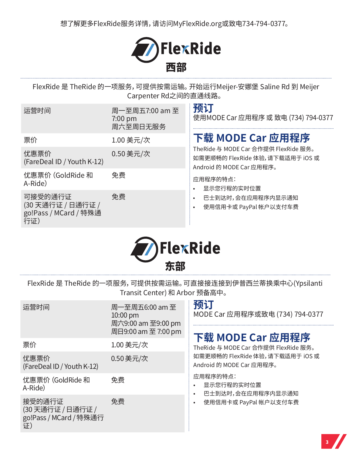

FlexRide 是 TheRide 的一项服务,可提供按需运输。开始运行Meijer-安娜堡 Saline Rd 到 Meijer Carpenter Rd之间的直通线路。

| 运营时间                                                        | 周一至周五7:00 am 至<br>$7:00 \text{ pm}$<br>周六至周日无服务 | 预订<br>使用MODE Car 应用程序 或 致电 (734) 794-0377                                                            |  |
|-------------------------------------------------------------|-------------------------------------------------|------------------------------------------------------------------------------------------------------|--|
| 票价                                                          | 1.00 美元/次                                       | 下载 MODE Car 应用程序                                                                                     |  |
| 优惠票价<br>(FareDeal ID / Youth K-12)                          | 0.50 美元/次                                       | TheRide 与 MODE Car 合作提供 FlexRide 服务。<br>如需更顺畅的 FlexRide 体验, 请下载适用于 iOS 或<br>Android 的 MODE Car 应用程序。 |  |
| 优惠票价 (GoldRide 和<br>A-Ride)                                 | 免费                                              | 应用程序的特点:<br>显示您行程的实时位置                                                                               |  |
| 可接受的通行证<br>(30天通行证 / 日通行证 /<br>go!Pass / MCard / 特殊通<br>行证) | 免费                                              | 巴士到达时,会在应用程序内显示通知<br>使用信用卡或 PayPal 帐户以支付车费                                                           |  |



FlexRide 是 TheRide 的一项服务,可提供按需运输。可直接接连接到伊普西兰蒂换乘中心(Ypsilanti Transit Center) 和 Arbor 预备高中。

| 运营时间                                                       | 周一至周五6:00 am 至<br>$10:00$ pm<br>周六9:00 am 至9:00 pm<br>周日9:00 am 至 7:00 pm | 预订<br>MODE Car 应用程序或致电 (734) 794-0377<br>下载 MODE Car 应用程序    |  |
|------------------------------------------------------------|---------------------------------------------------------------------------|--------------------------------------------------------------|--|
| 票价                                                         | 1.00 美元/次                                                                 | TheRide 与 MODE Car 合作提供 FlexRide 服务。                         |  |
| 优惠票价<br>(FareDeal ID / Youth K-12)                         | 0.50 美元/次                                                                 | 如需更顺畅的 FlexRide 体验, 请下载适用于 iOS 或<br>Android 的 MODE Car 应用程序。 |  |
| 优惠票价 (GoldRide 和<br>A-Ride)                                | 免费                                                                        | 应用程序的特点:<br>显示您行程的实时位置<br>巴士到达时,会在应用程序内显示通知                  |  |
| 接受的通行证<br>(30天通行证 / 日通行证 /<br>go!Pass / MCard / 特殊通行<br>证) | 免费                                                                        | 使用信用卡或 PayPal 帐户以支付车费<br>$\bullet$                           |  |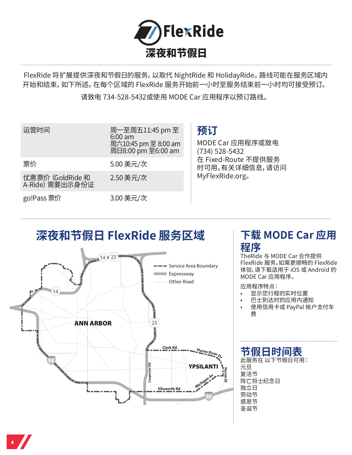

FlexRide 将扩展提供深夜和节假日的服务,以取代 NightRide 和 HolidayRide。路线可能在服务区域内 开始和结束,如下所述。在每个区域的 FlexRide 服务开始前一小时至服务结束前一小时均可接受预订。

请致电 734-528-5432或使用 MODE Car 应用程序以预订路线。

| 运营时间                                | 周一至周五11:45 pm 至<br>$6:00$ am<br>周六10:45 pm 至 8:00 am<br>周日8:00 pm 至6:00 am |
|-------------------------------------|----------------------------------------------------------------------------|
| 票价                                  | 5.00 美元/次                                                                  |
| 优惠票价 (GoldRide 和<br>A-Ride) 需要出示身份证 | 2.50 美元/次                                                                  |
| go!Pass 票价                          | 3.00 美元/次                                                                  |

## **预订**

MODE Car 应用程序或致电 (734) 528-5432 在 Fixed-Route 不提供服务 时可用。有关详细信息,请访问 MyFlexRide.org。

## **深夜和节假日 FlexRide 服务区域**



## **下载 MODE Car 应用 程序**

TheRide 与 MODE Car 合作提供 FlexRide 服务。如需更顺畅的 FlexRide 体验,请下载适用于 iOS 或 Android 的 MODE Car 应用程序。

应用程序特点:

- 显示您行程的实时位置
- 巴士到达时的应用内通知
- 使用信用卡或 PayPal 帐户支付车 费

## **节假日时间表**

此服务在 以下节假日可用: 元旦 复活节 阵亡将士纪念日 独立日 劳动节 感恩节 圣诞节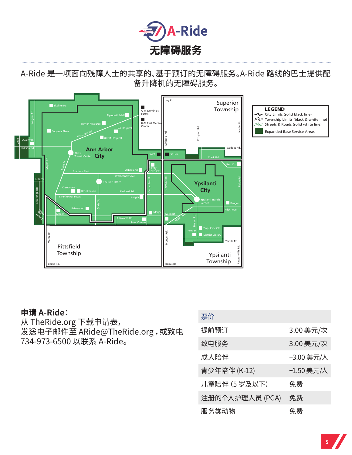

#### A-Ride 是一项面向残障人士的共享的、基于预订的无障碍服务。A-Ride 路线的巴士提供配 备升降机的无障碍服务。



#### **申请 A-Ride:**

从 TheRide.org 卜载甲请表, 发送电子邮件至 ARide@TheRide.org ,或致电 734-973-6500 以联系 A-Ride。

| 票价              |            |
|-----------------|------------|
| 提前预订            | 3.00 美元/次  |
| 致电服务            | 3.00 美元/次  |
| 成人陪伴            | +3.00 美元/人 |
| 青少年陪伴 (K-12)    | +1.50 美元/人 |
| 儿童陪伴 (5 岁及以下)   | 免费         |
| 注册的个人护理人员 (PCA) | 免费         |
| 服务类动物           | 免费         |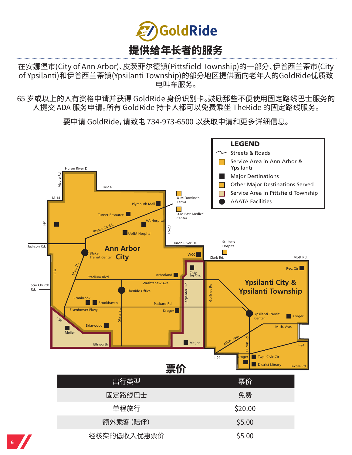

在安娜堡市(City of Ann Arbor)、皮茨菲尔德镇(Pittsfield Township)的一部分、伊普西兰蒂市(City of Ypsilanti)和伊普西兰蒂镇(Ypsilanti Township)的部分地区提供面向老年人的GoldRide优质致 电叫车服务。

65 岁或以上的人有资格申请并获得 GoldRide 身份识别卡。鼓励那些不便使用固定路线巴士服务的 人提交 ADA 服务申请。所有 GoldRide 持卡人都可以免费乘坐 TheRide 的固定路线服务。

要申请 GoldRide,请致电 734-973-6500 以获取申请和更多详细信息。